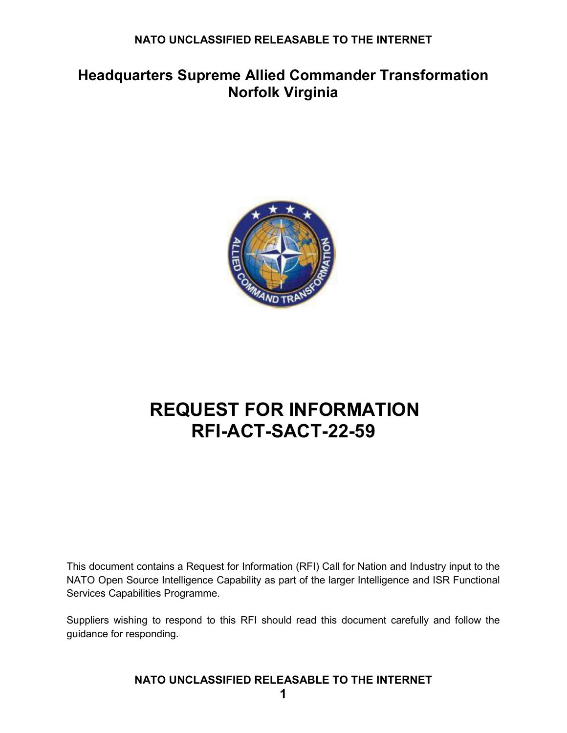## **Headquarters Supreme Allied Commander Transformation Norfolk Virginia**



# **REQUEST FOR INFORMATION RFI-ACT-SACT-22-59**

This document contains a Request for Information (RFI) Call for Nation and Industry input to the NATO Open Source Intelligence Capability as part of the larger Intelligence and ISR Functional Services Capabilities Programme.

Suppliers wishing to respond to this RFI should read this document carefully and follow the guidance for responding.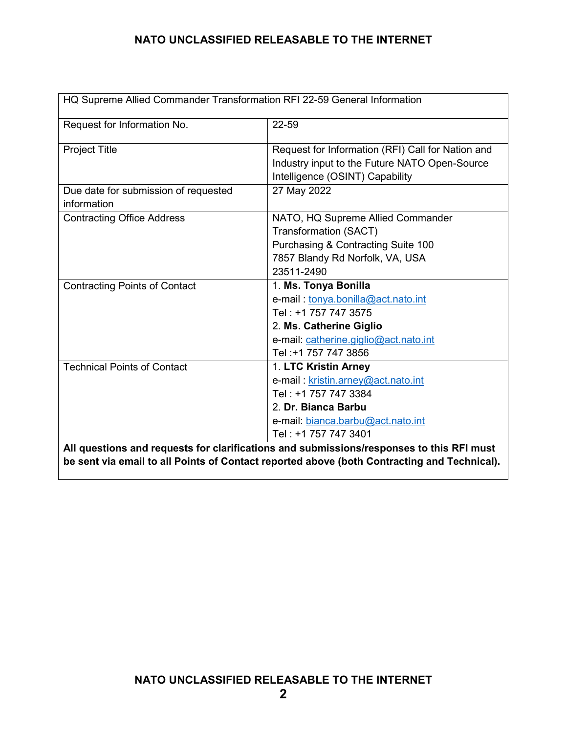| HQ Supreme Allied Commander Transformation RFI 22-59 General Information                                                                                                                |                                                                                                                                                                                |
|-----------------------------------------------------------------------------------------------------------------------------------------------------------------------------------------|--------------------------------------------------------------------------------------------------------------------------------------------------------------------------------|
| Request for Information No.                                                                                                                                                             | 22-59                                                                                                                                                                          |
| <b>Project Title</b>                                                                                                                                                                    | Request for Information (RFI) Call for Nation and<br>Industry input to the Future NATO Open-Source<br>Intelligence (OSINT) Capability                                          |
| Due date for submission of requested<br>information                                                                                                                                     | 27 May 2022                                                                                                                                                                    |
| <b>Contracting Office Address</b>                                                                                                                                                       | NATO, HQ Supreme Allied Commander<br><b>Transformation (SACT)</b><br>Purchasing & Contracting Suite 100<br>7857 Blandy Rd Norfolk, VA, USA<br>23511-2490                       |
| <b>Contracting Points of Contact</b>                                                                                                                                                    | 1. Ms. Tonya Bonilla<br>e-mail: tonya.bonilla@act.nato.int<br>Tel: +1 757 747 3575<br>2. Ms. Catherine Giglio<br>e-mail: catherine.giglio@act.nato.int<br>Tel: +1 757 747 3856 |
| <b>Technical Points of Contact</b>                                                                                                                                                      | 1. LTC Kristin Arney<br>e-mail: kristin.arney@act.nato.int<br>Tel: +1 757 747 3384<br>2. Dr. Bianca Barbu<br>e-mail: bianca.barbu@act.nato.int<br>Tel: +1 757 747 3401         |
| All questions and requests for clarifications and submissions/responses to this RFI must<br>be sent via email to all Points of Contact reported above (both Contracting and Technical). |                                                                                                                                                                                |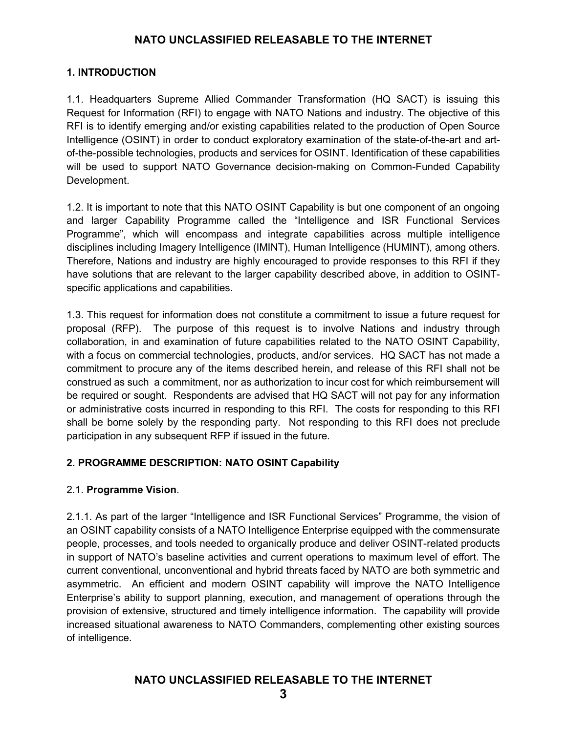### **1. INTRODUCTION**

1.1. Headquarters Supreme Allied Commander Transformation (HQ SACT) is issuing this Request for Information (RFI) to engage with NATO Nations and industry. The objective of this RFI is to identify emerging and/or existing capabilities related to the production of Open Source Intelligence (OSINT) in order to conduct exploratory examination of the state-of-the-art and artof-the-possible technologies, products and services for OSINT. Identification of these capabilities will be used to support NATO Governance decision-making on Common-Funded Capability Development.

1.2. It is important to note that this NATO OSINT Capability is but one component of an ongoing and larger Capability Programme called the "Intelligence and ISR Functional Services Programme", which will encompass and integrate capabilities across multiple intelligence disciplines including Imagery Intelligence (IMINT), Human Intelligence (HUMINT), among others. Therefore, Nations and industry are highly encouraged to provide responses to this RFI if they have solutions that are relevant to the larger capability described above, in addition to OSINTspecific applications and capabilities.

1.3. This request for information does not constitute a commitment to issue a future request for proposal (RFP). The purpose of this request is to involve Nations and industry through collaboration, in and examination of future capabilities related to the NATO OSINT Capability, with a focus on commercial technologies, products, and/or services. HQ SACT has not made a commitment to procure any of the items described herein, and release of this RFI shall not be construed as such a commitment, nor as authorization to incur cost for which reimbursement will be required or sought. Respondents are advised that HQ SACT will not pay for any information or administrative costs incurred in responding to this RFI. The costs for responding to this RFI shall be borne solely by the responding party. Not responding to this RFI does not preclude participation in any subsequent RFP if issued in the future.

## **2. PROGRAMME DESCRIPTION: NATO OSINT Capability**

## 2.1. **Programme Vision**.

2.1.1. As part of the larger "Intelligence and ISR Functional Services" Programme, the vision of an OSINT capability consists of a NATO Intelligence Enterprise equipped with the commensurate people, processes, and tools needed to organically produce and deliver OSINT-related products in support of NATO's baseline activities and current operations to maximum level of effort. The current conventional, unconventional and hybrid threats faced by NATO are both symmetric and asymmetric. An efficient and modern OSINT capability will improve the NATO Intelligence Enterprise's ability to support planning, execution, and management of operations through the provision of extensive, structured and timely intelligence information. The capability will provide increased situational awareness to NATO Commanders, complementing other existing sources of intelligence.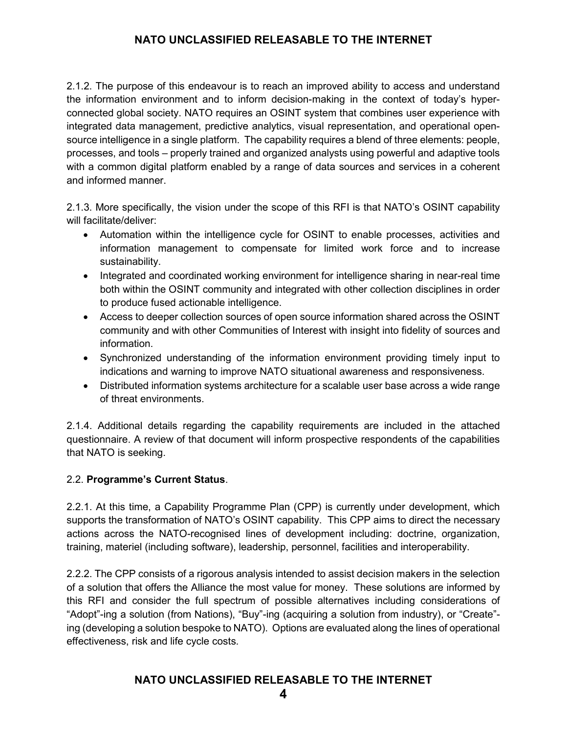2.1.2. The purpose of this endeavour is to reach an improved ability to access and understand the information environment and to inform decision-making in the context of today's hyperconnected global society. NATO requires an OSINT system that combines user experience with integrated data management, predictive analytics, visual representation, and operational opensource intelligence in a single platform. The capability requires a blend of three elements: people, processes, and tools – properly trained and organized analysts using powerful and adaptive tools with a common digital platform enabled by a range of data sources and services in a coherent and informed manner.

2.1.3. More specifically, the vision under the scope of this RFI is that NATO's OSINT capability will facilitate/deliver:

- Automation within the intelligence cycle for OSINT to enable processes, activities and information management to compensate for limited work force and to increase sustainability.
- Integrated and coordinated working environment for intelligence sharing in near-real time both within the OSINT community and integrated with other collection disciplines in order to produce fused actionable intelligence.
- Access to deeper collection sources of open source information shared across the OSINT community and with other Communities of Interest with insight into fidelity of sources and information.
- Synchronized understanding of the information environment providing timely input to indications and warning to improve NATO situational awareness and responsiveness.
- Distributed information systems architecture for a scalable user base across a wide range of threat environments.

2.1.4. Additional details regarding the capability requirements are included in the attached questionnaire. A review of that document will inform prospective respondents of the capabilities that NATO is seeking.

## 2.2. **Programme's Current Status**.

2.2.1. At this time, a Capability Programme Plan (CPP) is currently under development, which supports the transformation of NATO's OSINT capability. This CPP aims to direct the necessary actions across the NATO-recognised lines of development including: doctrine, organization, training, materiel (including software), leadership, personnel, facilities and interoperability.

2.2.2. The CPP consists of a rigorous analysis intended to assist decision makers in the selection of a solution that offers the Alliance the most value for money. These solutions are informed by this RFI and consider the full spectrum of possible alternatives including considerations of "Adopt"-ing a solution (from Nations), "Buy"-ing (acquiring a solution from industry), or "Create" ing (developing a solution bespoke to NATO). Options are evaluated along the lines of operational effectiveness, risk and life cycle costs.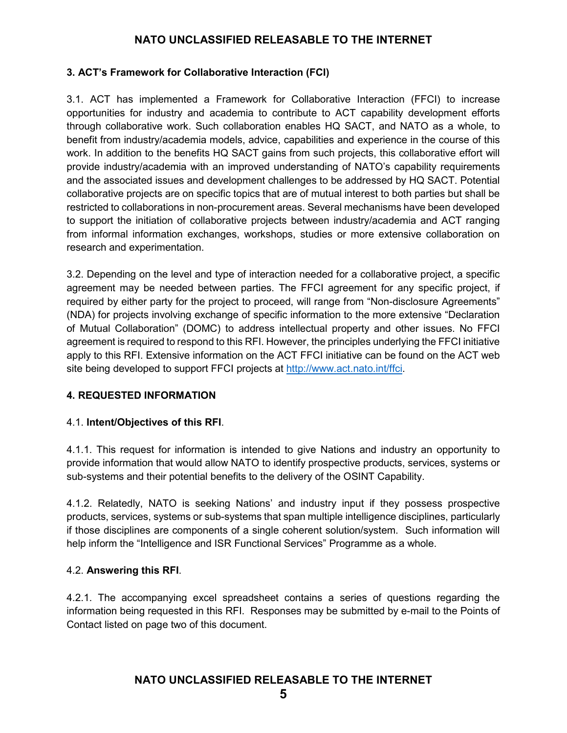## **3. ACT's Framework for Collaborative Interaction (FCI)**

3.1. ACT has implemented a Framework for Collaborative Interaction (FFCI) to increase opportunities for industry and academia to contribute to ACT capability development efforts through collaborative work. Such collaboration enables HQ SACT, and NATO as a whole, to benefit from industry/academia models, advice, capabilities and experience in the course of this work. In addition to the benefits HQ SACT gains from such projects, this collaborative effort will provide industry/academia with an improved understanding of NATO's capability requirements and the associated issues and development challenges to be addressed by HQ SACT. Potential collaborative projects are on specific topics that are of mutual interest to both parties but shall be restricted to collaborations in non-procurement areas. Several mechanisms have been developed to support the initiation of collaborative projects between industry/academia and ACT ranging from informal information exchanges, workshops, studies or more extensive collaboration on research and experimentation.

3.2. Depending on the level and type of interaction needed for a collaborative project, a specific agreement may be needed between parties. The FFCI agreement for any specific project, if required by either party for the project to proceed, will range from "Non-disclosure Agreements" (NDA) for projects involving exchange of specific information to the more extensive "Declaration of Mutual Collaboration" (DOMC) to address intellectual property and other issues. No FFCI agreement is required to respond to this RFI. However, the principles underlying the FFCI initiative apply to this RFI. Extensive information on the ACT FFCI initiative can be found on the ACT web site being developed to support FFCI projects at [http://www.act.nato.int/ffci.](http://www.act.nato.int/ffci)

## **4. REQUESTED INFORMATION**

## 4.1. **Intent/Objectives of this RFI**.

4.1.1. This request for information is intended to give Nations and industry an opportunity to provide information that would allow NATO to identify prospective products, services, systems or sub-systems and their potential benefits to the delivery of the OSINT Capability.

4.1.2. Relatedly, NATO is seeking Nations' and industry input if they possess prospective products, services, systems or sub-systems that span multiple intelligence disciplines, particularly if those disciplines are components of a single coherent solution/system. Such information will help inform the "Intelligence and ISR Functional Services" Programme as a whole.

#### 4.2. **Answering this RFI**.

4.2.1. The accompanying excel spreadsheet contains a series of questions regarding the information being requested in this RFI. Responses may be submitted by e-mail to the Points of Contact listed on page two of this document.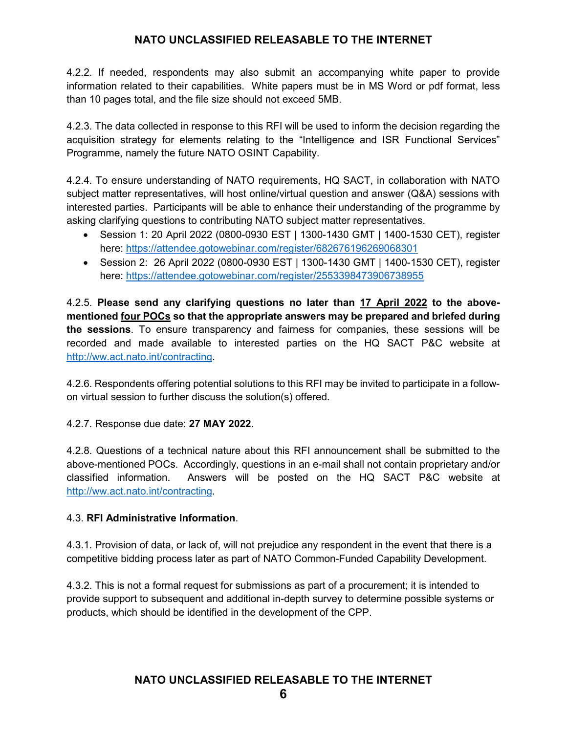4.2.2. If needed, respondents may also submit an accompanying white paper to provide information related to their capabilities. White papers must be in MS Word or pdf format, less than 10 pages total, and the file size should not exceed 5MB.

4.2.3. The data collected in response to this RFI will be used to inform the decision regarding the acquisition strategy for elements relating to the "Intelligence and ISR Functional Services" Programme, namely the future NATO OSINT Capability.

4.2.4. To ensure understanding of NATO requirements, HQ SACT, in collaboration with NATO subject matter representatives, will host online/virtual question and answer (Q&A) sessions with interested parties. Participants will be able to enhance their understanding of the programme by asking clarifying questions to contributing NATO subject matter representatives.

- Session 1: 20 April 2022 (0800-0930 EST | 1300-1430 GMT | 1400-1530 CET), register here: <https://attendee.gotowebinar.com/register/682676196269068301>
- Session 2: 26 April 2022 (0800-0930 EST | 1300-1430 GMT | 1400-1530 CET), register here: <https://attendee.gotowebinar.com/register/2553398473906738955>

4.2.5. **Please send any clarifying questions no later than 17 April 2022 to the abovementioned four POCs so that the appropriate answers may be prepared and briefed during the sessions**. To ensure transparency and fairness for companies, these sessions will be recorded and made available to interested parties on the HQ SACT P&C website at [http://ww.act.nato.int/contracting.](http://ww.act.nato.int/contracting)

4.2.6. Respondents offering potential solutions to this RFI may be invited to participate in a followon virtual session to further discuss the solution(s) offered.

4.2.7. Response due date: **27 MAY 2022**.

4.2.8. Questions of a technical nature about this RFI announcement shall be submitted to the above-mentioned POCs. Accordingly, questions in an e-mail shall not contain proprietary and/or classified information. Answers will be posted on the HQ SACT P&C website at [http://ww.act.nato.int/contracting.](http://ww.act.nato.int/contracting)

## 4.3. **RFI Administrative Information**.

4.3.1. Provision of data, or lack of, will not prejudice any respondent in the event that there is a competitive bidding process later as part of NATO Common-Funded Capability Development.

4.3.2. This is not a formal request for submissions as part of a procurement; it is intended to provide support to subsequent and additional in-depth survey to determine possible systems or products, which should be identified in the development of the CPP.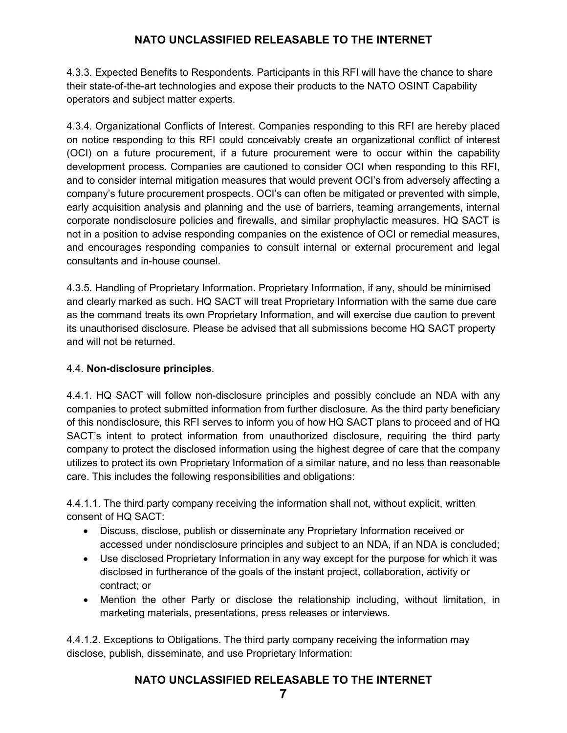4.3.3. Expected Benefits to Respondents. Participants in this RFI will have the chance to share their state-of-the-art technologies and expose their products to the NATO OSINT Capability operators and subject matter experts.

4.3.4. Organizational Conflicts of Interest. Companies responding to this RFI are hereby placed on notice responding to this RFI could conceivably create an organizational conflict of interest (OCI) on a future procurement, if a future procurement were to occur within the capability development process. Companies are cautioned to consider OCI when responding to this RFI, and to consider internal mitigation measures that would prevent OCI's from adversely affecting a company's future procurement prospects. OCI's can often be mitigated or prevented with simple, early acquisition analysis and planning and the use of barriers, teaming arrangements, internal corporate nondisclosure policies and firewalls, and similar prophylactic measures. HQ SACT is not in a position to advise responding companies on the existence of OCI or remedial measures, and encourages responding companies to consult internal or external procurement and legal consultants and in-house counsel.

4.3.5. Handling of Proprietary Information. Proprietary Information, if any, should be minimised and clearly marked as such. HQ SACT will treat Proprietary Information with the same due care as the command treats its own Proprietary Information, and will exercise due caution to prevent its unauthorised disclosure. Please be advised that all submissions become HQ SACT property and will not be returned.

## 4.4. **Non-disclosure principles**.

4.4.1. HQ SACT will follow non-disclosure principles and possibly conclude an NDA with any companies to protect submitted information from further disclosure. As the third party beneficiary of this nondisclosure, this RFI serves to inform you of how HQ SACT plans to proceed and of HQ SACT's intent to protect information from unauthorized disclosure, requiring the third party company to protect the disclosed information using the highest degree of care that the company utilizes to protect its own Proprietary Information of a similar nature, and no less than reasonable care. This includes the following responsibilities and obligations:

4.4.1.1. The third party company receiving the information shall not, without explicit, written consent of HQ SACT:

- Discuss, disclose, publish or disseminate any Proprietary Information received or accessed under nondisclosure principles and subject to an NDA, if an NDA is concluded;
- Use disclosed Proprietary Information in any way except for the purpose for which it was disclosed in furtherance of the goals of the instant project, collaboration, activity or contract; or
- Mention the other Party or disclose the relationship including, without limitation, in marketing materials, presentations, press releases or interviews.

4.4.1.2. Exceptions to Obligations. The third party company receiving the information may disclose, publish, disseminate, and use Proprietary Information: